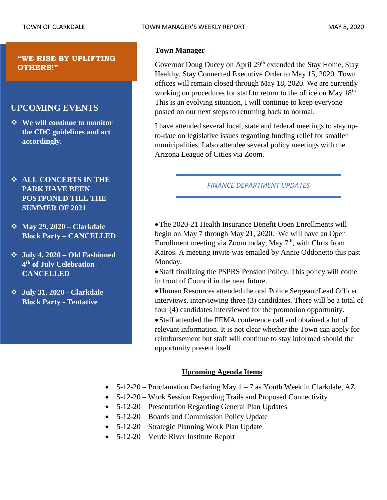### **"WE RISE BY UPLIFTING OTHERS!"**

# **UPCOMING EVENTS**

- ❖ **We will continue to monitor the CDC guidelines and act accordingly.**
- ❖ **ALL CONCERTS IN THE PARK HAVE BEEN POSTPONED TILL THE SUMMER OF 2021**
- ❖ **May 29, 2020 – Clarkdale Block Party – CANCELLED**
- ❖ **July 4, 2020 – Old Fashioned 4 th of July Celebration – CANCELLED**
- ❖ **July 31, 2020 - Clarkdale Block Party - Tentative**

# **Town Manager** –

Governor Doug Ducey on April 29<sup>th</sup> extended the Stay Home, Stay Healthy, Stay Connected Executive Order to May 15, 2020. Town offices will remain closed through May 18, 2020. We are currently working on procedures for staff to return to the office on May 18<sup>th</sup>. This is an evolving situation, I will continue to keep everyone posted on our next steps to returning back to normal.

I have attended several local, state and federal meetings to stay upto-date on legislative issues regarding funding relief for smaller municipalities. I also attendee several policy meetings with the Arizona League of Cities via Zoom.

# *FINANCE DEPARTMENT UPDATES*

•The 2020-21 Health Insurance Benefit Open Enrollments will begin on May 7 through May 21, 2020. We will have an Open Enrollment meeting via Zoom today, May  $7<sup>th</sup>$ , with Chris from Kairos. A meeting invite was emailed by Annie Oddonetto this past Monday.

•Staff finalizing the PSPRS Pension Policy. This policy will come in front of Council in the near future.

•Human Resources attended the oral Police Sergeant/Lead Officer interviews, interviewing three (3) candidates. There will be a total of four (4) candidates interviewed for the promotion opportunity.

•Staff attended the FEMA conference call and obtained a lot of relevant information. It is not clear whether the Town can apply for reimbursement but staff will continue to stay informed should the opportunity present itself.

# **Upcoming Agenda Items**

- 5-12-20 Proclamation Declaring May  $1 7$  as Youth Week in Clarkdale, AZ
- 5-12-20 Work Session Regarding Trails and Proposed Connectivity
- 5-12-20 Presentation Regarding General Plan Updates
- 5-12-20 Boards and Commission Policy Update
- 5-12-20 Strategic Planning Work Plan Update
- 5-12-20 Verde River Institute Report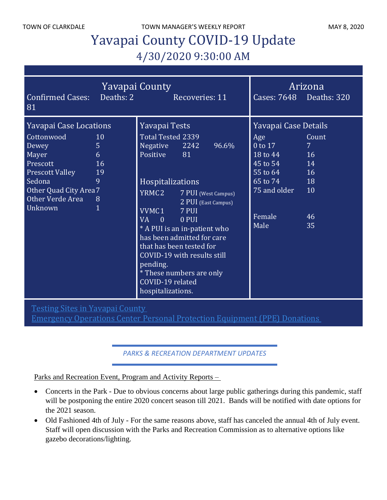TOWN OF CLARKDALE TOWN MANAGER'S WEEKLY REPORT TOWN OF CLARKDALE

# Yavapai County COVID-19 Update 4/30/2020 9:30:00 AM

| <b>Yavapai County</b><br>Deaths: 2<br><b>Confirmed Cases:</b><br>Recoveries: 11<br>81                                                                                                                                                     |                                                                                                                                                                                                                                                                                                                                                                                                                      | Cases: 7648 Deaths: 320                                                                                                                       | Arizona                                                             |
|-------------------------------------------------------------------------------------------------------------------------------------------------------------------------------------------------------------------------------------------|----------------------------------------------------------------------------------------------------------------------------------------------------------------------------------------------------------------------------------------------------------------------------------------------------------------------------------------------------------------------------------------------------------------------|-----------------------------------------------------------------------------------------------------------------------------------------------|---------------------------------------------------------------------|
| <b>Yavapai Case Locations</b><br>Cottonwood<br>10<br>$\overline{5}$<br>Dewey<br>6<br>Mayer<br>Prescott<br>16<br>19<br><b>Prescott Valley</b><br>Sedona<br>9<br>Other Quad City Area 7<br>Other Verde Area<br>8<br>$\mathbf{1}$<br>Unknown | Yavapai Tests<br>Total Tested 2339<br>Negative 2242<br>96.6%<br>Positive 81<br>Hospitalizations<br>YRMC2 7 PUI (West Campus)<br>2 PUI (East Campus)<br>VVMC1 7 PUI<br><b>VA</b><br>$\overline{0}$<br>0 PUI<br>* A PUI is an in-patient who<br>has been admitted for care<br>that has been tested for<br>COVID-19 with results still<br>pending.<br>* These numbers are only<br>COVID-19 related<br>hospitalizations. | Yavapai Case Details<br>Age<br>0 to 17<br>$18 \text{ to } 44$<br>45 to 54 14<br>$55$ to $64$<br>65 to 74 18<br>75 and older<br>Female<br>Male | Count<br>7 <sup>1</sup><br><b>16</b><br><b>16</b><br>10<br>46<br>35 |

Testing Sites in [Yavapai](http://www.yavapai.us/Portals/39/Testing%20Sites%20in%20Yavapai%20County.pdf) County

[Emergency](http://www.yavapai.us/Portals/39/PPE%20Donations.pdf) Operations Center Personal Protection Equipment (PPE) Donations

*PARKS & RECREATION DEPARTMENT UPDATES*

Parks and Recreation Event, Program and Activity Reports –

- Concerts in the Park Due to obvious concerns about large public gatherings during this pandemic, staff will be postponing the entire 2020 concert season till 2021. Bands will be notified with date options for the 2021 season.
- Old Fashioned 4th of July For the same reasons above, staff has canceled the annual 4th of July event. Staff will open discussion with the Parks and Recreation Commission as to alternative options like gazebo decorations/lighting.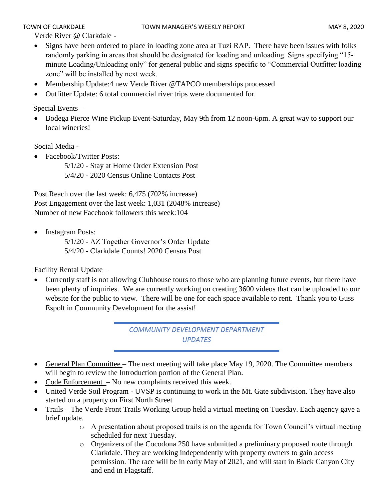Verde River @ Clarkdale -

- Signs have been ordered to place in loading zone area at Tuzi RAP. There have been issues with folks randomly parking in areas that should be designated for loading and unloading. Signs specifying "15 minute Loading/Unloading only" for general public and signs specific to "Commercial Outfitter loading zone" will be installed by next week.
- Membership Update:4 new Verde River @TAPCO memberships processed
- Outfitter Update: 6 total commercial river trips were documented for.

### Special Events –

• Bodega Pierce Wine Pickup Event-Saturday, May 9th from 12 noon-6pm. A great way to support our local wineries!

### Social Media -

- Facebook/Twitter Posts:
	- 5/1/20 Stay at Home Order Extension Post 5/4/20 - 2020 Census Online Contacts Post

Post Reach over the last week: 6,475 (702% increase) Post Engagement over the last week: 1,031 (2048% increase) Number of new Facebook followers this week:104

• Instagram Posts:

 5/1/20 - AZ Together Governor's Order Update 5/4/20 - Clarkdale Counts! 2020 Census Post

Facility Rental Update –

• Currently staff is not allowing Clubhouse tours to those who are planning future events, but there have been plenty of inquiries. We are currently working on creating 3600 videos that can be uploaded to our website for the public to view. There will be one for each space available to rent. Thank you to Guss Espolt in Community Development for the assist!

> *COMMUNITY DEVELOPMENT DEPARTMENT UPDATES*

- General Plan Committee The next meeting will take place May 19, 2020. The Committee members will begin to review the Introduction portion of the General Plan.
- Code Enforcement No new complaints received this week.
- United Verde Soil Program UVSP is continuing to work in the Mt. Gate subdivision. They have also started on a property on First North Street
- Trails The Verde Front Trails Working Group held a virtual meeting on Tuesday. Each agency gave a brief update.
	- o A presentation about proposed trails is on the agenda for Town Council's virtual meeting scheduled for next Tuesday.
	- o Organizers of the Cocodona 250 have submitted a preliminary proposed route through Clarkdale. They are working independently with property owners to gain access permission. The race will be in early May of 2021, and will start in Black Canyon City and end in Flagstaff.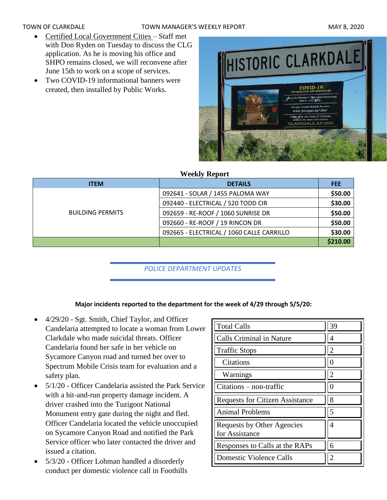### TOWN OF CLARKDALE TOWN MANAGER'S WEEKLY REPORT TOWN OF CLARKDALE

- Certified Local Government Cities Staff met with Don Ryden on Tuesday to discuss the CLG application. As he is moving his office and SHPO remains closed, we will reconvene after June 15th to work on a scope of services.
- Two COVID-19 informational banners were created, then installed by Public Works.



### **Weekly Report**

| <b>ITEM</b>             | <b>DETAILS</b>                            | <b>FEE</b> |
|-------------------------|-------------------------------------------|------------|
|                         | 092641 - SOLAR / 1455 PALOMA WAY          | \$50.00    |
|                         | 092440 - ELECTRICAL / 520 TODD CIR        | \$30.00    |
| <b>BUILDING PERMITS</b> | 092659 - RE-ROOF / 1060 SUNRISE DR        | \$50.00    |
|                         | 092660 - RE-ROOF / 19 RINCON DR           | \$50.00    |
|                         | 092665 - ELECTRICAL / 1060 CALLE CARRILLO | \$30.00    |
|                         |                                           | \$210.00   |

*POLICE DEPARTMENT UPDATES*

# **Major incidents reported to the department for the week of 4/29 through 5/5/20:**

- 4/29/20 Sgt. Smith, Chief Taylor, and Officer Candelaria attempted to locate a woman from Lower Clarkdale who made suicidal threats. Officer Candelaria found her safe in her vehicle on Sycamore Canyon road and turned her over to Spectrum Mobile Crisis team for evaluation and a safety plan.
- 5/1/20 Officer Candelaria assisted the Park Service with a hit-and-run property damage incident. A driver crashed into the Tuzigoot National Monument entry gate during the night and fled. Officer Candelaria located the vehicle unoccupied on Sycamore Canyon Road and notified the Park Service officer who later contacted the driver and issued a citation.
- 5/3/20 Officer Lohman handled a disorderly conduct per domestic violence call in Foothills

| <b>Total Calls</b>                           | 39             |
|----------------------------------------------|----------------|
| Calls Criminal in Nature                     | 4              |
| <b>Traffic Stops</b>                         | $\overline{2}$ |
| Citations                                    |                |
| Warnings                                     | $\overline{2}$ |
| $Citations - non-traffic$                    |                |
| <b>Requests for Citizen Assistance</b>       | 8              |
| <b>Animal Problems</b>                       | 5              |
| Requests by Other Agencies<br>for Assistance | 4              |
| Responses to Calls at the RAPs               | 6              |
| <b>Domestic Violence Calls</b>               |                |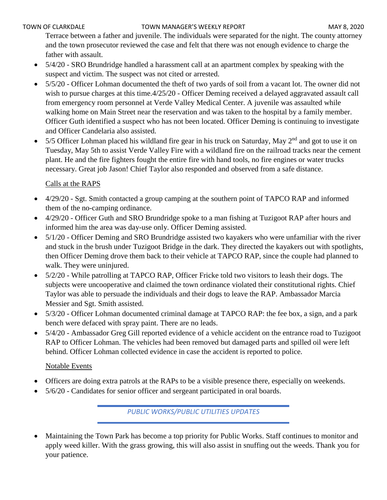Terrace between a father and juvenile. The individuals were separated for the night. The county attorney and the town prosecutor reviewed the case and felt that there was not enough evidence to charge the father with assault.

- 5/4/20 SRO Brundridge handled a harassment call at an apartment complex by speaking with the suspect and victim. The suspect was not cited or arrested.
- 5/5/20 Officer Lohman documented the theft of two yards of soil from a vacant lot. The owner did not wish to pursue charges at this time.4/25/20 - Officer Deming received a delayed aggravated assault call from emergency room personnel at Verde Valley Medical Center. A juvenile was assaulted while walking home on Main Street near the reservation and was taken to the hospital by a family member. Officer Guth identified a suspect who has not been located. Officer Deming is continuing to investigate and Officer Candelaria also assisted.
- 5/5 Officer Lohman placed his wildland fire gear in his truck on Saturday, May  $2<sup>nd</sup>$  and got to use it on Tuesday, May 5th to assist Verde Valley Fire with a wildland fire on the railroad tracks near the cement plant. He and the fire fighters fought the entire fire with hand tools, no fire engines or water trucks necessary. Great job Jason! Chief Taylor also responded and observed from a safe distance.

# Calls at the RAPS

- 4/29/20 Sgt. Smith contacted a group camping at the southern point of TAPCO RAP and informed them of the no-camping ordinance.
- 4/29/20 Officer Guth and SRO Brundridge spoke to a man fishing at Tuzigoot RAP after hours and informed him the area was day-use only. Officer Deming assisted.
- 5/1/20 Officer Deming and SRO Brundridge assisted two kayakers who were unfamiliar with the river and stuck in the brush under Tuzigoot Bridge in the dark. They directed the kayakers out with spotlights, then Officer Deming drove them back to their vehicle at TAPCO RAP, since the couple had planned to walk. They were uninjured.
- 5/2/20 While patrolling at TAPCO RAP, Officer Fricke told two visitors to leash their dogs. The subjects were uncooperative and claimed the town ordinance violated their constitutional rights. Chief Taylor was able to persuade the individuals and their dogs to leave the RAP. Ambassador Marcia Messier and Sgt. Smith assisted.
- 5/3/20 Officer Lohman documented criminal damage at TAPCO RAP: the fee box, a sign, and a park bench were defaced with spray paint. There are no leads.
- 5/4/20 Ambassador Greg Gill reported evidence of a vehicle accident on the entrance road to Tuzigoot RAP to Officer Lohman. The vehicles had been removed but damaged parts and spilled oil were left behind. Officer Lohman collected evidence in case the accident is reported to police.

## Notable Events

- Officers are doing extra patrols at the RAPs to be a visible presence there, especially on weekends.
- 5/6/20 Candidates for senior officer and sergeant participated in oral boards.

*PUBLIC WORKS/PUBLIC UTILITIES UPDATES*

• Maintaining the Town Park has become a top priority for Public Works. Staff continues to monitor and apply weed killer. With the grass growing, this will also assist in snuffing out the weeds. Thank you for your patience.